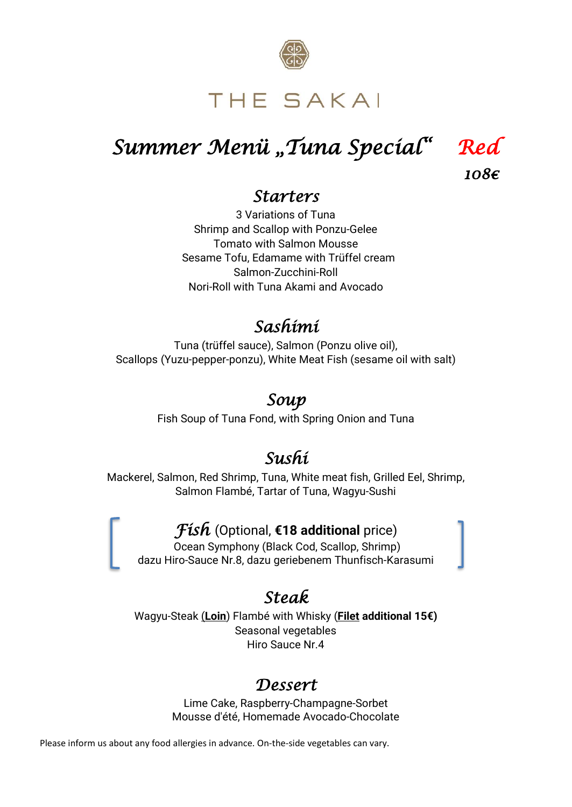

# THE SAKAI

# *Summer Menü* "*Tuna Special*" Red

*108€* 

#### *Starters*

3 Variations of Tuna Shrimp and Scallop with Ponzu-Gelee Tomato with Salmon Mousse Sesame Tofu, Edamame with Trüffel cream Salmon-Zucchini-Roll Nori-Roll with Tuna Akami and Avocado

### *Sashimi*

Tuna (trüffel sauce), Salmon (Ponzu olive oil), Scallops (Yuzu-pepper-ponzu), White Meat Fish (sesame oil with salt)

### *Soup*

Fish Soup of Tuna Fond, with Spring Onion and Tuna

## *Sushi*

Mackerel, Salmon, Red Shrimp, Tuna, White meat fish, Grilled Eel, Shrimp, Salmon Flambé, Tartar of Tuna, Wagyu-Sushi

#### *Fish* (Optional, **€18 additional** price)

Ocean Symphony (Black Cod, Scallop, Shrimp) dazu Hiro-Sauce Nr.8, dazu geriebenem Thunfisch-Karasumi

### *Steak*

Wagyu-Steak (**Loin**) Flambé with Whisky (**Filet additional 15€)** Seasonal vegetables Hiro Sauce Nr.4

#### *Dessert*

Lime Cake, Raspberry-Champagne-Sorbet Mousse d'été, Homemade Avocado-Chocolate

Please inform us about any food allergies in advance. On-the-side vegetables can vary.